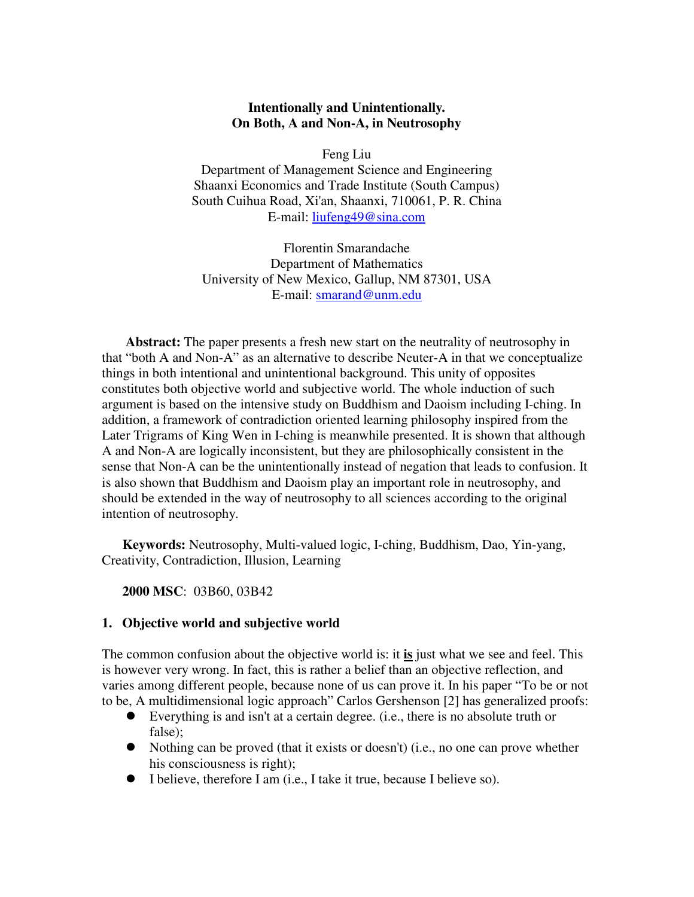### **Intentionally and Unintentionally. On Both, A and Non-A, in Neutrosophy**

Feng Liu

Department of Management Science and Engineering Shaanxi Economics and Trade Institute (South Campus) South Cuihua Road, Xi'an, Shaanxi, 710061, P. R. China E-mail: liufeng49@sina.com

Florentin Smarandache Department of Mathematics University of New Mexico, Gallup, NM 87301, USA E-mail: smarand@unm.edu

**Abstract:** The paper presents a fresh new start on the neutrality of neutrosophy in that "both A and Non-A" as an alternative to describe Neuter-A in that we conceptualize things in both intentional and unintentional background. This unity of opposites constitutes both objective world and subjective world. The whole induction of such argument is based on the intensive study on Buddhism and Daoism including I-ching. In addition, a framework of contradiction oriented learning philosophy inspired from the Later Trigrams of King Wen in I-ching is meanwhile presented. It is shown that although A and Non-A are logically inconsistent, but they are philosophically consistent in the sense that Non-A can be the unintentionally instead of negation that leads to confusion. It is also shown that Buddhism and Daoism play an important role in neutrosophy, and should be extended in the way of neutrosophy to all sciences according to the original intention of neutrosophy.

**Keywords:** Neutrosophy, Multi-valued logic, I-ching, Buddhism, Dao, Yin-yang, Creativity, Contradiction, Illusion, Learning

**2000 MSC**: 03B60, 03B42

### **1. Objective world and subjective world**

The common confusion about the objective world is: it **is** just what we see and feel. This is however very wrong. In fact, this is rather a belief than an objective reflection, and varies among different people, because none of us can prove it. In his paper "To be or not to be, A multidimensional logic approach" Carlos Gershenson [2] has generalized proofs:

- Everything is and isn't at a certain degree. (i.e., there is no absolute truth or false);
- $\bullet$  Nothing can be proved (that it exists or doesn't) (i.e., no one can prove whether his consciousness is right);
- I believe, therefore I am (i.e., I take it true, because I believe so).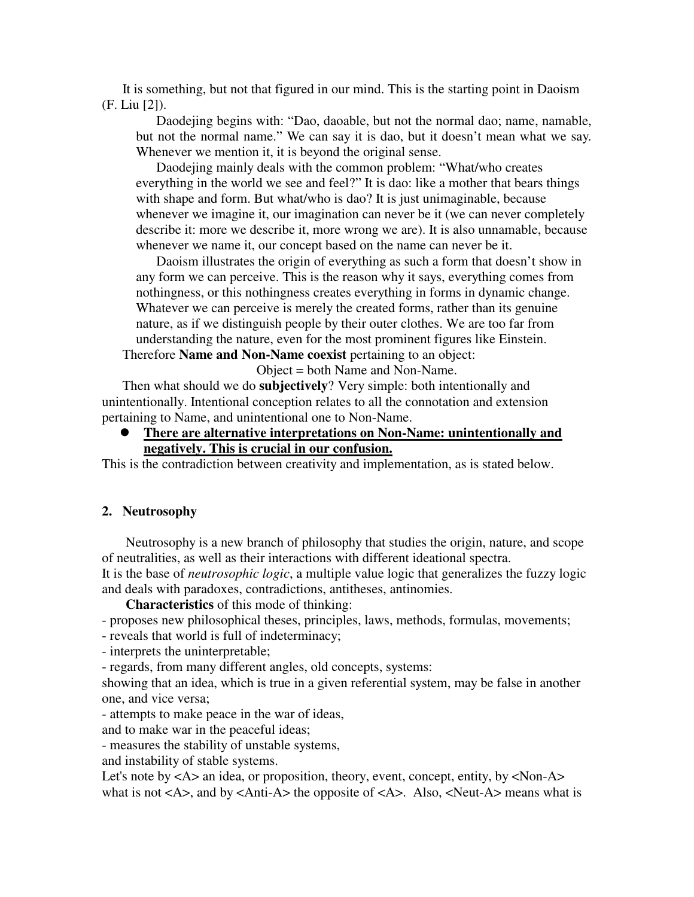It is something, but not that figured in our mind. This is the starting point in Daoism (F. Liu [2]).

Daodejing begins with: "Dao, daoable, but not the normal dao; name, namable, but not the normal name." We can say it is dao, but it doesn't mean what we say. Whenever we mention it, it is beyond the original sense.

Daodejing mainly deals with the common problem: "What/who creates everything in the world we see and feel?" It is dao: like a mother that bears things with shape and form. But what/who is dao? It is just unimaginable, because whenever we imagine it, our imagination can never be it (we can never completely describe it: more we describe it, more wrong we are). It is also unnamable, because whenever we name it, our concept based on the name can never be it.

Daoism illustrates the origin of everything as such a form that doesn't show in any form we can perceive. This is the reason why it says, everything comes from nothingness, or this nothingness creates everything in forms in dynamic change. Whatever we can perceive is merely the created forms, rather than its genuine nature, as if we distinguish people by their outer clothes. We are too far from understanding the nature, even for the most prominent figures like Einstein.

Therefore **Name and Non-Name coexist** pertaining to an object:

Object = both Name and Non-Name.

Then what should we do **subjectively**? Very simple: both intentionally and unintentionally. Intentional conception relates to all the connotation and extension pertaining to Name, and unintentional one to Non-Name.

z **There are alternative interpretations on Non-Name: unintentionally and negatively. This is crucial in our confusion.**

This is the contradiction between creativity and implementation, as is stated below.

#### **2. Neutrosophy**

Neutrosophy is a new branch of philosophy that studies the origin, nature, and scope of neutralities, as well as their interactions with different ideational spectra. It is the base of *neutrosophic logic*, a multiple value logic that generalizes the fuzzy logic and deals with paradoxes, contradictions, antitheses, antinomies.

**Characteristics** of this mode of thinking:

- proposes new philosophical theses, principles, laws, methods, formulas, movements;

- reveals that world is full of indeterminacy;

- interprets the uninterpretable;

- regards, from many different angles, old concepts, systems:

showing that an idea, which is true in a given referential system, may be false in another one, and vice versa;

- attempts to make peace in the war of ideas,

and to make war in the peaceful ideas;

- measures the stability of unstable systems,

and instability of stable systems.

Let's note by <A> an idea, or proposition, theory, event, concept, entity, by <Non-A> what is not  $\langle A \rangle$ , and by  $\langle A$ nti-A $\rangle$  the opposite of  $\langle A \rangle$ . Also,  $\langle Neut-A \rangle$  means what is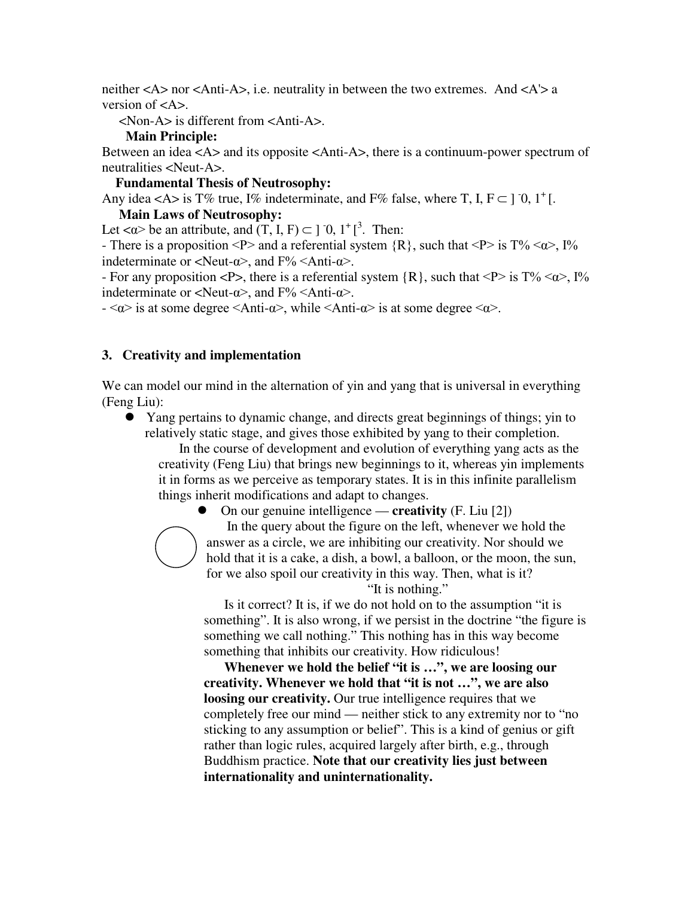neither  $\langle A \rangle$  nor  $\langle A$ nti-A $\rangle$ , i.e. neutrality in between the two extremes. And  $\langle A \rangle$  a version of <A>.

<Non-A> is different from <Anti-A>.

### **Main Principle:**

Between an idea <A> and its opposite <Anti-A>, there is a continuum-power spectrum of neutralities <Neut-A>.

### **Fundamental Thesis of Neutrosophy:**

Any idea <A> is T% true, I% indeterminate, and F% false, where T, I,  $F \subset J$  0,  $1^+$ [.

### **Main Laws of Neutrosophy:**

Let  $\langle \alpha \rangle$  be an attribute, and  $(T, I, F) \subset ]0, 1^+]^3$ . Then:

- There is a proposition <P> and a referential system  $\{R\}$ , such that <P> is T% < $\alpha$ >, I% indeterminate or  $\langle Neut-\alpha \rangle$ , and  $F\% \langle Anti-\alpha \rangle$ .

- For any proposition  $\langle P \rangle$ , there is a referential system  $\{R\}$ , such that  $\langle P \rangle$  is  $T\% \langle \alpha \rangle$ ,  $I\%$ indeterminate or  $\langle Neut-\alpha\rangle$ , and  $F\% \langle Anti-\alpha\rangle$ .

 $-\langle \alpha \rangle$  is at some degree  $\langle \text{Anti-}\alpha \rangle$ , while  $\langle \text{Anti-}\alpha \rangle$  is at some degree  $\langle \alpha \rangle$ .

# **3. Creativity and implementation**

We can model our mind in the alternation of yin and yang that is universal in everything (Feng Liu):

• Yang pertains to dynamic change, and directs great beginnings of things; yin to relatively static stage, and gives those exhibited by yang to their completion.

In the course of development and evolution of everything yang acts as the creativity (Feng Liu) that brings new beginnings to it, whereas yin implements it in forms as we perceive as temporary states. It is in this infinite parallelism things inherit modifications and adapt to changes.



z On our genuine intelligence — **creativity** (F. Liu [2]) In the query about the figure on the left, whenever we hold the answer as a circle, we are inhibiting our creativity. Nor should we hold that it is a cake, a dish, a bowl, a balloon, or the moon, the sun, for we also spoil our creativity in this way. Then, what is it?

"It is nothing."

Is it correct? It is, if we do not hold on to the assumption "it is something". It is also wrong, if we persist in the doctrine "the figure is something we call nothing." This nothing has in this way become something that inhibits our creativity. How ridiculous!

**Whenever we hold the belief "it is …", we are loosing our creativity. Whenever we hold that "it is not …", we are also loosing our creativity.** Our true intelligence requires that we completely free our mind — neither stick to any extremity nor to "no sticking to any assumption or belief". This is a kind of genius or gift rather than logic rules, acquired largely after birth, e.g., through Buddhism practice. **Note that our creativity lies just between internationality and uninternationality.**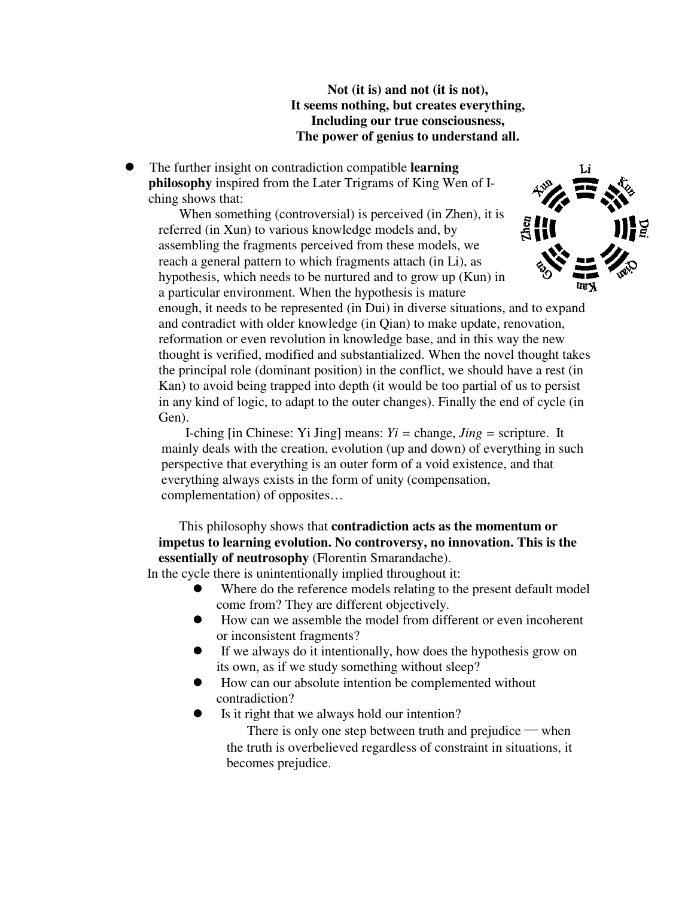**Not (it is) and not (it is not), It seems nothing, but creates everything, Including our true consciousness, The power of genius to understand all.** 

The further insight on contradiction compatible **learning philosophy** inspired from the Later Trigrams of King Wen of Iching shows that:

When something (controversial) is perceived (in Zhen), it is referred (in Xun) to various knowledge models and, by assembling the fragments perceived from these models, we reach a general pattern to which fragments attach (in Li), as hypothesis, which needs to be nurtured and to grow up (Kun) in a particular environment. When the hypothesis is mature



enough, it needs to be represented (in Dui) in diverse situations, and to expand and contradict with older knowledge (in Qian) to make update, renovation, reformation or even revolution in knowledge base, and in this way the new thought is verified, modified and substantialized. When the novel thought takes the principal role (dominant position) in the conflict, we should have a rest (in Kan) to avoid being trapped into depth (it would be too partial of us to persist in any kind of logic, to adapt to the outer changes). Finally the end of cycle (in Gen).

I-ching [in Chinese: Yi Jing] means: *Yi =* change, *Jing =* scripture. It mainly deals with the creation, evolution (up and down) of everything in such perspective that everything is an outer form of a void existence, and that everything always exists in the form of unity (compensation, complementation) of opposites…

# This philosophy shows that **contradiction acts as the momentum or impetus to learning evolution. No controversy, no innovation. This is the essentially of neutrosophy** (Florentin Smarandache).

In the cycle there is unintentionally implied throughout it:

- Where do the reference models relating to the present default model come from? They are different objectively.
- $\bullet$  How can we assemble the model from different or even incoherent or inconsistent fragments?
- If we always do it intentionally, how does the hypothesis grow on its own, as if we study something without sleep?
- How can our absolute intention be complemented without contradiction?
- Is it right that we always hold our intention?

There is only one step between truth and prejudice — when the truth is overbelieved regardless of constraint in situations, it becomes prejudice.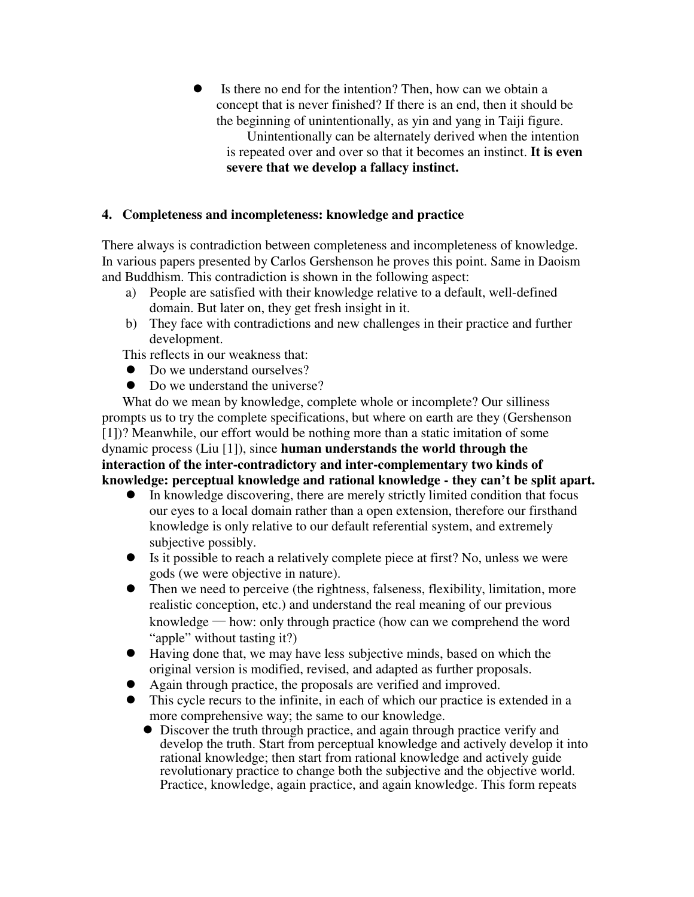- Is there no end for the intention? Then, how can we obtain a concept that is never finished? If there is an end, then it should be the beginning of unintentionally, as yin and yang in Taiji figure.
	- Unintentionally can be alternately derived when the intention is repeated over and over so that it becomes an instinct. **It is even severe that we develop a fallacy instinct.**

### **4. Completeness and incompleteness: knowledge and practice**

There always is contradiction between completeness and incompleteness of knowledge. In various papers presented by Carlos Gershenson he proves this point. Same in Daoism and Buddhism. This contradiction is shown in the following aspect:

- a) People are satisfied with their knowledge relative to a default, well-defined domain. But later on, they get fresh insight in it.
- b) They face with contradictions and new challenges in their practice and further development.

This reflects in our weakness that:

- $\bullet$  Do we understand ourselves?
- Do we understand the universe?

What do we mean by knowledge, complete whole or incomplete? Our silliness prompts us to try the complete specifications, but where on earth are they (Gershenson [1])? Meanwhile, our effort would be nothing more than a static imitation of some dynamic process (Liu [1]), since **human understands the world through the interaction of the inter-contradictory and inter-complementary two kinds of knowledge: perceptual knowledge and rational knowledge - they can't be split apart.**

- $\bullet$  In knowledge discovering, there are merely strictly limited condition that focus our eyes to a local domain rather than a open extension, therefore our firsthand knowledge is only relative to our default referential system, and extremely subjective possibly.
- Is it possible to reach a relatively complete piece at first? No, unless we were gods (we were objective in nature).
- Then we need to perceive (the rightness, falseness, flexibility, limitation, more realistic conception, etc.) and understand the real meaning of our previous knowledge — how: only through practice (how can we comprehend the word "apple" without tasting it?)
- Having done that, we may have less subjective minds, based on which the original version is modified, revised, and adapted as further proposals.
- Again through practice, the proposals are verified and improved.
- This cycle recurs to the infinite, in each of which our practice is extended in a more comprehensive way; the same to our knowledge.
	- Discover the truth through practice, and again through practice verify and develop the truth. Start from perceptual knowledge and actively develop it into rational knowledge; then start from rational knowledge and actively guide revolutionary practice to change both the subjective and the objective world. Practice, knowledge, again practice, and again knowledge. This form repeats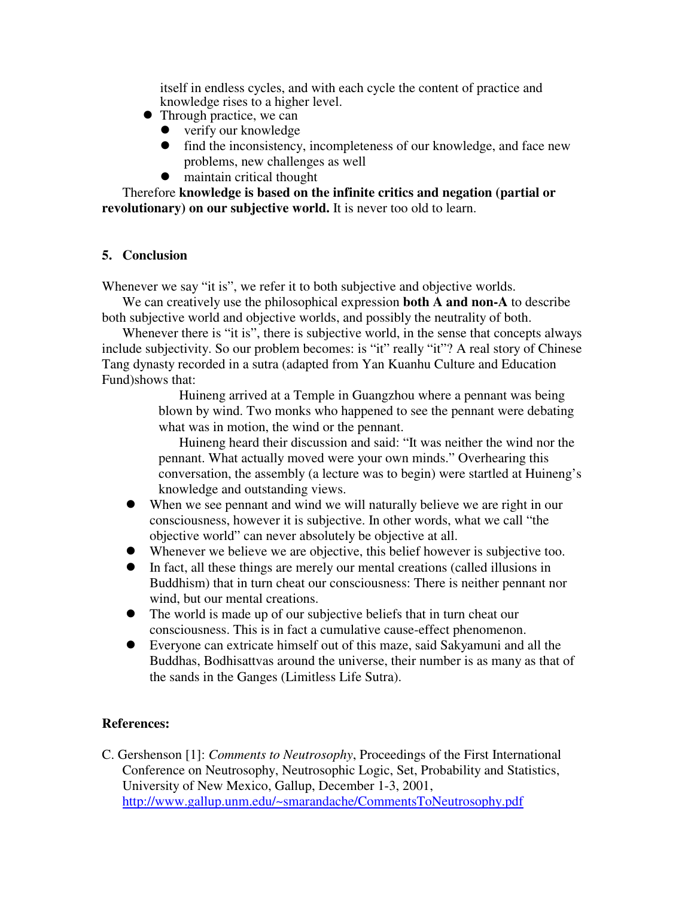itself in endless cycles, and with each cycle the content of practice and knowledge rises to a higher level.

- $\bullet$  Through practice, we can
	- $\bullet$  verify our knowledge
	- $\bullet$  find the inconsistency, incompleteness of our knowledge, and face new problems, new challenges as well
	- $\bullet$  maintain critical thought

Therefore **knowledge is based on the infinite critics and negation (partial or revolutionary) on our subjective world.** It is never too old to learn.

### **5. Conclusion**

Whenever we say "it is", we refer it to both subjective and objective worlds.

We can creatively use the philosophical expression **both A and non-A** to describe both subjective world and objective worlds, and possibly the neutrality of both.

Whenever there is "it is", there is subjective world, in the sense that concepts always include subjectivity. So our problem becomes: is "it" really "it"? A real story of Chinese Tang dynasty recorded in a sutra (adapted from Yan Kuanhu Culture and Education Fund)shows that:

> Huineng arrived at a Temple in Guangzhou where a pennant was being blown by wind. Two monks who happened to see the pennant were debating what was in motion, the wind or the pennant.

Huineng heard their discussion and said: "It was neither the wind nor the pennant. What actually moved were your own minds." Overhearing this conversation, the assembly (a lecture was to begin) were startled at Huineng's knowledge and outstanding views.

- When we see pennant and wind we will naturally believe we are right in our consciousness, however it is subjective. In other words, what we call "the objective world" can never absolutely be objective at all.
- $\bullet$  Whenever we believe we are objective, this belief however is subjective too.
- $\bullet$  In fact, all these things are merely our mental creations (called illusions in Buddhism) that in turn cheat our consciousness: There is neither pennant nor wind, but our mental creations.
- The world is made up of our subjective beliefs that in turn cheat our consciousness. This is in fact a cumulative cause-effect phenomenon.
- Everyone can extricate himself out of this maze, said Sakyamuni and all the Buddhas, Bodhisattvas around the universe, their number is as many as that of the sands in the Ganges (Limitless Life Sutra).

# **References:**

C. Gershenson [1]: *Comments to Neutrosophy*, Proceedings of the First International Conference on Neutrosophy, Neutrosophic Logic, Set, Probability and Statistics, University of New Mexico, Gallup, December 1-3, 2001, http://www.gallup.unm.edu/~smarandache/CommentsToNeutrosophy.pdf